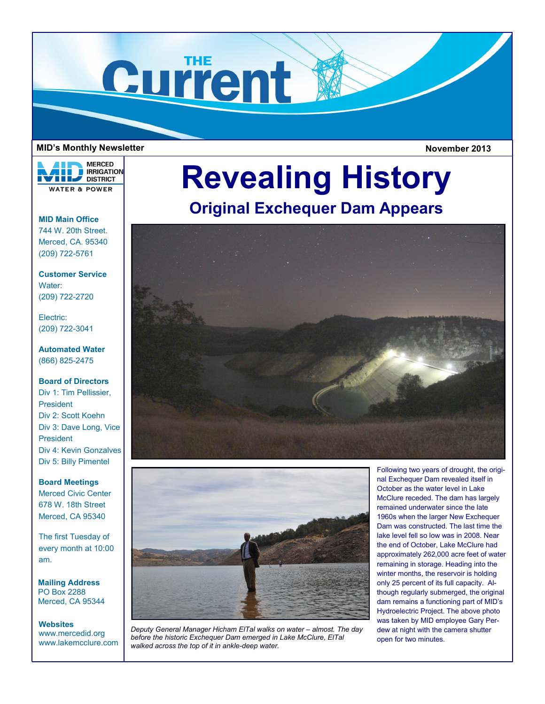

#### **MID's Monthly Newsletter**

**MERCED RRIGATION THE DISTRICT WATER & POWER** 

**MID Main Office** 744 W. 20th Street. Merced, CA. 95340 (209) 722-5761

**Customer Service** Water: (209) 722-2720

Electric: (209) 722-3041

**Automated Water** (866) 825-2475

### **Board of Directors**

Div 1: Tim Pellissier, President Div 2: Scott Koehn Div 3: Dave Long, Vice President Div 4: Kevin Gonzalves Div 5: Billy Pimentel

**Board Meetings** Merced Civic Center 678 W. 18th Street Merced, CA 95340

The first Tuesday of every month at 10:00 am.

**Mailing Address** PO Box 2288 Merced, CA 95344

## **Websites**

www.mercedid.org www.lakemcclure.com



# **Original Exchequer Dam Appears**





**Deputy General Manager Hicham EITal walks on water - almost. The day** *before the historic Exchequer Dam emerged in Lake McClure, ElTal walked across the top of it in ankle-deep water.*

Following two years of drought, the original Exchequer Dam revealed itself in October as the water level in Lake McClure receded. The dam has largely remained underwater since the late 1960s when the larger New Exchequer Dam was constructed. The last time the lake level fell so low was in 2008. Near the end of October, Lake McClure had approximately 262,000 acre feet of water remaining in storage. Heading into the winter months, the reservoir is holding only 25 percent of its full capacity. Although regularly submerged, the original dam remains a functioning part of MID's Hydroelectric Project. The above photo was taken by MID employee Gary Perdew at night with the camera shutter open for two minutes.

**November 2013**